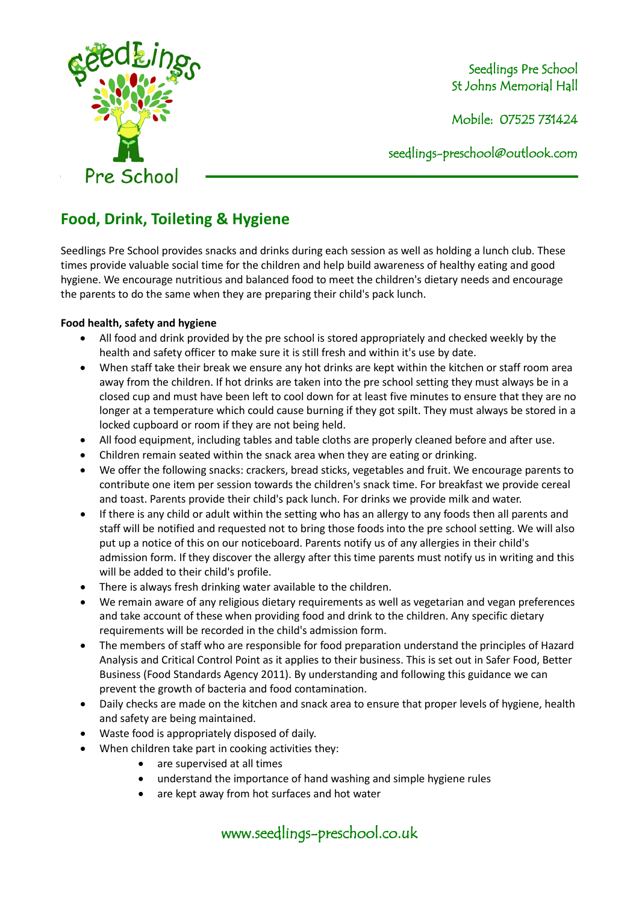

Seedlings Pre School St Johns Memorial Hall

Mobile: 07525 731424

seedlings[-preschool@outlook.com](mailto:preschool@outlook.com)

# **Food, Drink, Toileting & Hygiene**

Seedlings Pre School provides snacks and drinks during each session as well as holding a lunch club. These times provide valuable social time for the children and help build awareness of healthy eating and good hygiene. We encourage nutritious and balanced food to meet the children's dietary needs and encourage the parents to do the same when they are preparing their child's pack lunch.

# **Food health, safety and hygiene**

- All food and drink provided by the pre school is stored appropriately and checked weekly by the health and safety officer to make sure it is still fresh and within it's use by date.
- When staff take their break we ensure any hot drinks are kept within the kitchen or staff room area away from the children. If hot drinks are taken into the pre school setting they must always be in a closed cup and must have been left to cool down for at least five minutes to ensure that they are no longer at a temperature which could cause burning if they got spilt. They must always be stored in a locked cupboard or room if they are not being held.
- All food equipment, including tables and table cloths are properly cleaned before and after use.
- Children remain seated within the snack area when they are eating or drinking.
- We offer the following snacks: crackers, bread sticks, vegetables and fruit. We encourage parents to contribute one item per session towards the children's snack time. For breakfast we provide cereal and toast. Parents provide their child's pack lunch. For drinks we provide milk and water.
- If there is any child or adult within the setting who has an allergy to any foods then all parents and staff will be notified and requested not to bring those foods into the pre school setting. We will also put up a notice of this on our noticeboard. Parents notify us of any allergies in their child's admission form. If they discover the allergy after this time parents must notify us in writing and this will be added to their child's profile.
- There is always fresh drinking water available to the children.
- We remain aware of any religious dietary requirements as well as vegetarian and vegan preferences and take account of these when providing food and drink to the children. Any specific dietary requirements will be recorded in the child's admission form.
- The members of staff who are responsible for food preparation understand the principles of Hazard Analysis and Critical Control Point as it applies to their business. This is set out in Safer Food, Better Business (Food Standards Agency 2011). By understanding and following this guidance we can prevent the growth of bacteria and food contamination.
- Daily checks are made on the kitchen and snack area to ensure that proper levels of hygiene, health and safety are being maintained.
- Waste food is appropriately disposed of daily.
- When children take part in cooking activities they:
	- are supervised at all times
	- understand the importance of hand washing and simple hygiene rules
	- are kept away from hot surfaces and hot water

www.seedlings-preschool.co.uk